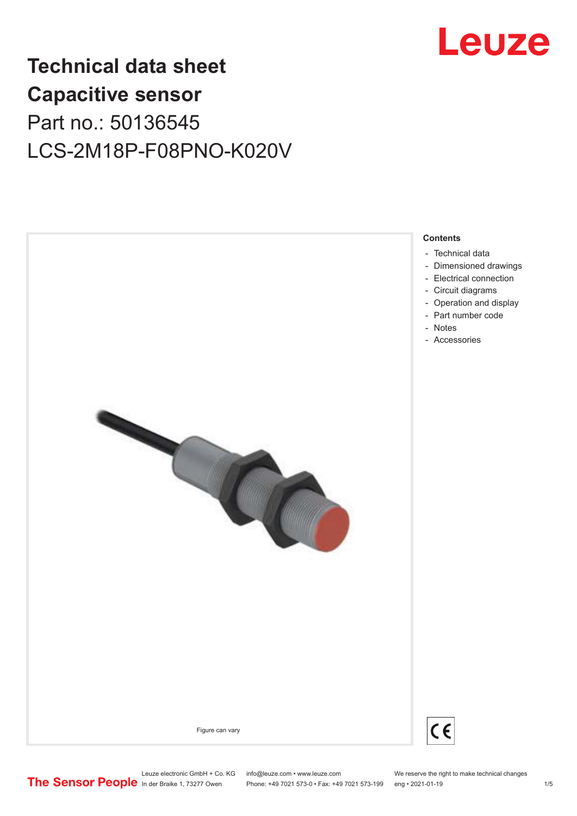

## **Technical data sheet Capacitive sensor** Part no.: 50136545 LCS-2M18P-F08PNO-K020V



Leuze electronic GmbH + Co. KG info@leuze.com • www.leuze.com We reserve the right to make technical changes<br>
The Sensor People in der Braike 1, 73277 Owen Phone: +49 7021 573-0 • Fax: +49 7021 573-199 eng • 2021-01-19

Phone: +49 7021 573-0 • Fax: +49 7021 573-199 eng • 2021-01-19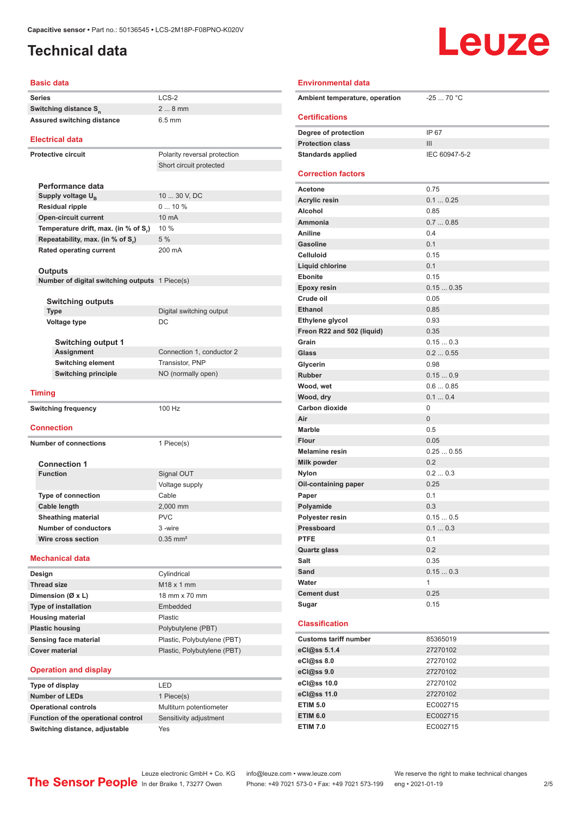### <span id="page-1-0"></span>**Technical data**

# Leuze

#### **Basic data**

| <b>Basic data</b>                              |                              |  |  |
|------------------------------------------------|------------------------------|--|--|
| <b>Series</b>                                  | LCS-2                        |  |  |
| Switching distance S <sub>n</sub>              | $28$ mm                      |  |  |
| Assured switching distance                     | $6.5$ mm                     |  |  |
| <b>Electrical data</b>                         |                              |  |  |
| <b>Protective circuit</b>                      | Polarity reversal protection |  |  |
|                                                | Short circuit protected      |  |  |
|                                                |                              |  |  |
| Performance data                               |                              |  |  |
| Supply voltage $U_{B}$                         | 10  30 V, DC                 |  |  |
| <b>Residual ripple</b>                         | 010%                         |  |  |
| <b>Open-circuit current</b>                    | 10 mA                        |  |  |
| Temperature drift, max. (in % of S,)           | 10 %                         |  |  |
| Repeatability, max. (in % of S.)               | 5 %                          |  |  |
| <b>Rated operating current</b>                 | 200 mA                       |  |  |
| Outputs                                        |                              |  |  |
| Number of digital switching outputs 1 Piece(s) |                              |  |  |
|                                                |                              |  |  |
| <b>Switching outputs</b>                       |                              |  |  |
| <b>Type</b>                                    | Digital switching output     |  |  |
| <b>Voltage type</b>                            | DC                           |  |  |
| <b>Switching output 1</b>                      |                              |  |  |
| <b>Assignment</b>                              | Connection 1, conductor 2    |  |  |
| <b>Switching element</b>                       | Transistor, PNP              |  |  |
| <b>Switching principle</b>                     | NO (normally open)           |  |  |
| <b>Timing</b>                                  |                              |  |  |
| <b>Switching frequency</b>                     | 100 Hz                       |  |  |
|                                                |                              |  |  |
| <b>Connection</b>                              |                              |  |  |
| <b>Number of connections</b>                   | 1 Piece(s)                   |  |  |
|                                                |                              |  |  |
| <b>Connection 1</b>                            |                              |  |  |
| <b>Function</b>                                | Signal OUT                   |  |  |
|                                                | Voltage supply               |  |  |
| <b>Type of connection</b>                      | Cable                        |  |  |
| Cable length                                   | 2.000 mm                     |  |  |
| Sheathing material                             | <b>PVC</b>                   |  |  |
| <b>Number of conductors</b>                    | 3-wire                       |  |  |
| Wire cross section                             | $0.35$ mm <sup>2</sup>       |  |  |
|                                                |                              |  |  |
| <b>Mechanical data</b>                         |                              |  |  |
| Design                                         | Cylindrical                  |  |  |
| <b>Thread size</b>                             | M18 x 1 mm                   |  |  |
| Dimension (Ø x L)                              | 18 mm x 70 mm                |  |  |
| Type of installation                           | Embedded                     |  |  |
| <b>Housing material</b>                        | Plastic                      |  |  |
| <b>Plastic housing</b>                         | Polybutylene (PBT)           |  |  |
| Sensing face material                          | Plastic, Polybutylene (PBT)  |  |  |
| <b>Cover material</b>                          | Plastic, Polybutylene (PBT)  |  |  |
|                                                |                              |  |  |
| <b>Operation and display</b>                   |                              |  |  |
| Type of display                                | LED                          |  |  |

#### **Type of display** LED **Number of LEDs Operational controls** Function of the operational control **Switching distance, adjustable**

| I FD                    |  |
|-------------------------|--|
| 1 Piece(s)              |  |
| Multiturn potentiometer |  |
| Sensitivity adjustment  |  |
| Yes                     |  |

| <b>Environmental data</b>                    |                    |  |  |
|----------------------------------------------|--------------------|--|--|
| $-2570 °C$<br>Ambient temperature, operation |                    |  |  |
| <b>Certifications</b>                        |                    |  |  |
| Degree of protection                         | IP 67              |  |  |
| <b>Protection class</b>                      | Ш                  |  |  |
| <b>Standards applied</b>                     | IEC 60947-5-2      |  |  |
| <b>Correction factors</b>                    |                    |  |  |
| <b>Acetone</b>                               | 0.75               |  |  |
| <b>Acrylic resin</b>                         | 0.10.25            |  |  |
| Alcohol                                      | 0.85               |  |  |
| Ammonia                                      | 0.70.85            |  |  |
| <b>Aniline</b>                               | 0.4                |  |  |
| <b>Gasoline</b>                              | 0.1                |  |  |
| <b>Celluloid</b>                             | 0.15               |  |  |
| Liquid chlorine                              | 0.1                |  |  |
| <b>Ebonite</b>                               | 0.15               |  |  |
| <b>Epoxy resin</b>                           | 0.150.35           |  |  |
| Crude oil                                    | 0.05               |  |  |
| <b>Ethanol</b>                               | 0.85               |  |  |
| Ethylene glycol                              | 0.93               |  |  |
| Freon R22 and 502 (liquid)                   | 0.35               |  |  |
| Grain                                        | 0.150.3            |  |  |
| Glass                                        | 0.20.55            |  |  |
| Glycerin                                     | 0.98               |  |  |
| <b>Rubber</b>                                | 0.150.9<br>0.60.85 |  |  |
| Wood, wet                                    | 0.10.4             |  |  |
| Wood, dry<br>Carbon dioxide                  | 0                  |  |  |
| Air                                          | $\overline{0}$     |  |  |
| <b>Marble</b>                                | 0.5                |  |  |
| <b>Flour</b>                                 | 0.05               |  |  |
| <b>Melamine resin</b>                        | 0.250.55           |  |  |
| <b>Milk powder</b>                           | 0.2                |  |  |
| Nylon                                        | 0.20.3             |  |  |
| Oil-containing paper                         | 0.25               |  |  |
| Paper                                        | 0.1                |  |  |
| Polyamide                                    | 0.3                |  |  |
| Polyester resin                              | 0.150.5            |  |  |
| Pressboard                                   | 0.10.3             |  |  |
| <b>PTFE</b>                                  | 0.1                |  |  |
| <b>Quartz glass</b>                          | 0.2                |  |  |
| Salt                                         | 0.35               |  |  |
| Sand                                         | 0.150.3            |  |  |
| Water                                        | 1                  |  |  |
| <b>Cement dust</b>                           | 0.25               |  |  |
| Sugar                                        | 0.15               |  |  |
| <b>Classification</b>                        |                    |  |  |
| <b>Customs tariff number</b>                 | 85365019           |  |  |
| eCl@ss 5.1.4                                 | 27270102           |  |  |
| eCl@ss 8.0                                   | 27270102           |  |  |
| eCl@ss 9.0                                   | 27270102           |  |  |
| eCl@ss 10.0                                  | 27270102           |  |  |
| eCl@ss 11.0                                  | 27270102           |  |  |
| <b>ETIM 5.0</b>                              | EC002715           |  |  |

**ETIM 6.0** EC002715 **ETIM 7.0** EC002715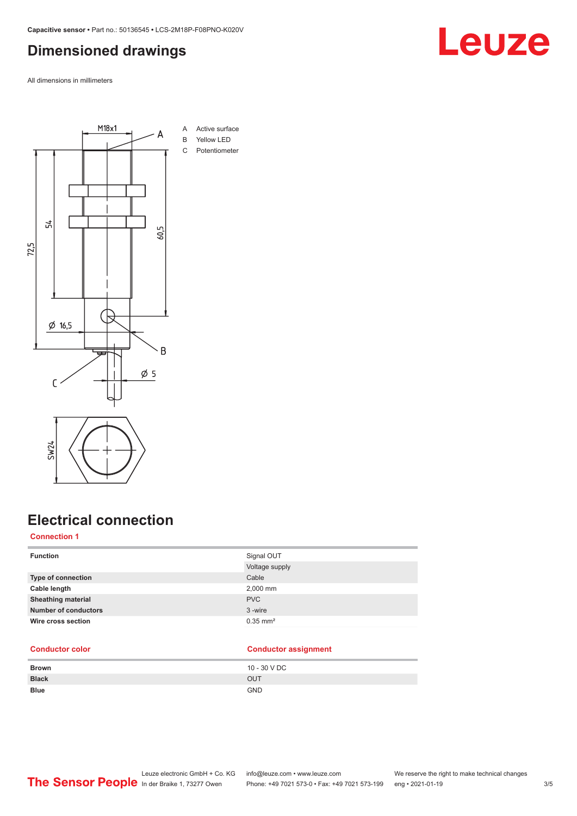### <span id="page-2-0"></span>**Dimensioned drawings**

All dimensions in millimeters



### **Electrical connection**

### **Connection 1**

| <b>Function</b>             | Signal OUT             |
|-----------------------------|------------------------|
|                             | Voltage supply         |
| Type of connection          | Cable                  |
| Cable length                | 2,000 mm               |
| <b>Sheathing material</b>   | <b>PVC</b>             |
| <b>Number of conductors</b> | 3-wire                 |
| Wire cross section          | $0.35$ mm <sup>2</sup> |
|                             |                        |

#### **Conductor color Conductor assignment**

| <b>Brown</b> | 10 - 30 V DC |
|--------------|--------------|
| <b>Black</b> | <b>OUT</b>   |
| <b>Blue</b>  | <b>GND</b>   |

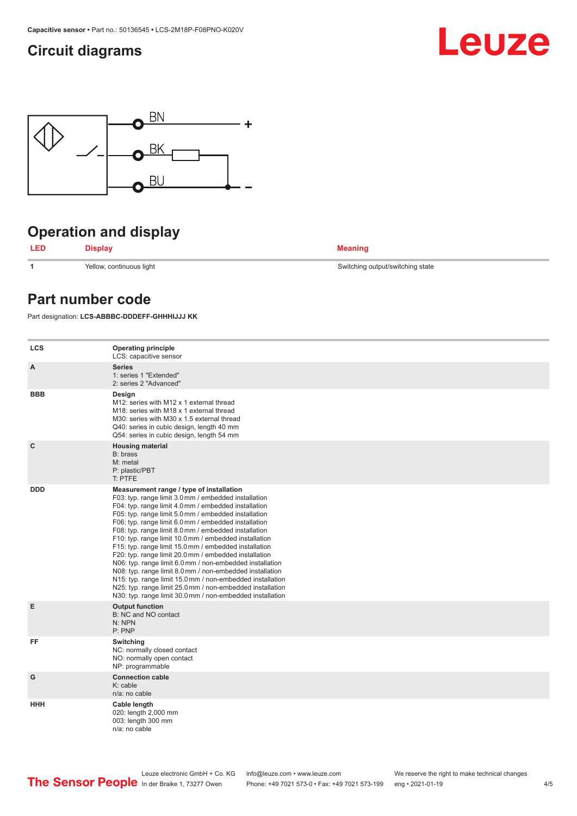### <span id="page-3-0"></span>**Circuit diagrams**





### **Operation and display**



**1** Yellow, continuous light Switching output/switching state

### **Part number code**

Part designation: **LCS-ABBBC-DDDEFF-GHHHIJJJ KK**

| <b>LCS</b> | <b>Operating principle</b><br>LCS: capacitive sensor                                                                                                                                                                                                                                                                                                                                                                                                                                                                                                                                                                                                                                                                                                                                                                       |
|------------|----------------------------------------------------------------------------------------------------------------------------------------------------------------------------------------------------------------------------------------------------------------------------------------------------------------------------------------------------------------------------------------------------------------------------------------------------------------------------------------------------------------------------------------------------------------------------------------------------------------------------------------------------------------------------------------------------------------------------------------------------------------------------------------------------------------------------|
| A          | <b>Series</b><br>1: series 1 "Extended"<br>2: series 2 "Advanced"                                                                                                                                                                                                                                                                                                                                                                                                                                                                                                                                                                                                                                                                                                                                                          |
| <b>BBB</b> | Design<br>M12: series with M12 x 1 external thread<br>M18: series with M18 x 1 external thread<br>M30: series with M30 x 1.5 external thread<br>Q40: series in cubic design, length 40 mm<br>Q54: series in cubic design, length 54 mm                                                                                                                                                                                                                                                                                                                                                                                                                                                                                                                                                                                     |
| C          | <b>Housing material</b><br>B: brass<br>M: metal<br>P: plastic/PBT<br>T: PTFE                                                                                                                                                                                                                                                                                                                                                                                                                                                                                                                                                                                                                                                                                                                                               |
| <b>DDD</b> | Measurement range / type of installation<br>F03: typ. range limit 3.0 mm / embedded installation<br>F04: typ. range limit 4.0 mm / embedded installation<br>F05: typ. range limit 5.0 mm / embedded installation<br>F06: typ. range limit 6.0 mm / embedded installation<br>F08: typ. range limit 8.0 mm / embedded installation<br>F10: typ. range limit 10.0 mm / embedded installation<br>F15: typ. range limit 15.0 mm / embedded installation<br>F20: typ. range limit 20.0 mm / embedded installation<br>N06: typ. range limit 6.0 mm / non-embedded installation<br>N08: typ. range limit 8.0 mm / non-embedded installation<br>N15: typ. range limit 15.0 mm / non-embedded installation<br>N25: typ. range limit 25.0 mm / non-embedded installation<br>N30: typ. range limit 30.0 mm / non-embedded installation |
| E          | <b>Output function</b><br>B: NC and NO contact<br>N: NPN<br>P: PNP                                                                                                                                                                                                                                                                                                                                                                                                                                                                                                                                                                                                                                                                                                                                                         |
| FF         | Switching<br>NC: normally closed contact<br>NO: normally open contact<br>NP: programmable                                                                                                                                                                                                                                                                                                                                                                                                                                                                                                                                                                                                                                                                                                                                  |
| G          | <b>Connection cable</b><br>K: cable<br>n/a: no cable                                                                                                                                                                                                                                                                                                                                                                                                                                                                                                                                                                                                                                                                                                                                                                       |
| HHH        | Cable length<br>020: length 2,000 mm<br>003: length 300 mm<br>n/a: no cable                                                                                                                                                                                                                                                                                                                                                                                                                                                                                                                                                                                                                                                                                                                                                |